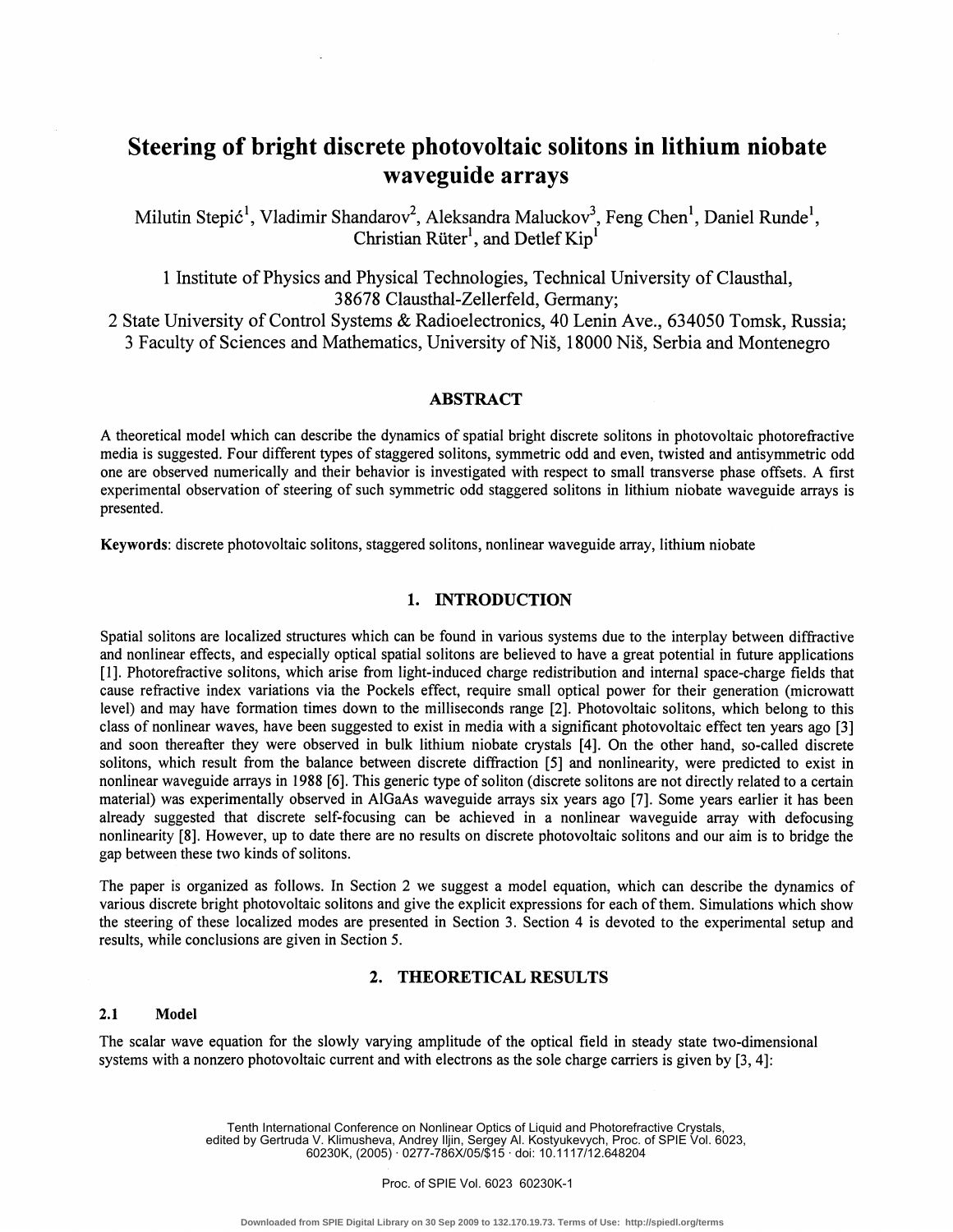# Steering of bright discrete photovoltaic solitons in lithium niobate waveguide arrays

Milutin Stepić', Vladimir Shandarov<sup>2</sup>, Aleksandra Maluckov<sup>3</sup>, Feng Chen', Daniel Runde', Christian Rüter<sup>1</sup>, and Detlef Kip<sup>1</sup>

1 Institute of Physics and Physical Technologies, Technical University of Clausthal, 3 8678 Clausthal-Zellerfeld, Germany;

2 State University of Control Systems & Radioelectronics, 40 Lenin Ave., 634050 Tomsk, Russia; 3 Faculty of Sciences and Mathematics, University of Niš, 18000 Niš, Serbia and Montenegro

## ABSTRACT

A theoretical model which can describe the dynamics of spatial bright discrete solitons in photovoltaic photorefractive media is suggested. Four different types of staggered solitons, symmetric odd and even, twisted and antisymmetric odd one are observed numerically and their behavior is investigated with respect to small transverse phase offsets. A first experimental observation of steering of such symmetric odd staggered solitons in lithium niobate waveguide arrays is presented.

Keywords: discrete photovoltaic solitons, staggered solitons, nonlinear waveguide array, lithium niobate

# 1. INTRODUCTION

Spatial solitons are localized structures which can be found in various systems due to the interplay between diffractive and nonlinear effects, and especially optical spatial solitons are believed to have a great potential in future applications [1]. Photorefractive solitons, which arise from light-induced charge redistribution and internal space-charge fields that cause refractive index variations via the Pockels effect, require small optical power for their generation (microwatt level) and may have formation times down to the milliseconds range {2J. Photovoltaic solitons, which belong to this class of nonlinear waves, have been suggested to exist in media with a significant photovoltaic effect ten years ago [3] and soon thereafter they were observed in bulk lithium niobate crystals [4]. On the other hand, so-called discrete solitons, which result from the balance between discrete diffraction [5] and nonlinearity, were predicted to exist in nonlinear waveguide arrays in 1988 [6]. This generic type of soliton (discrete solitons are not directly related to a certain material) was experimentally observed in AlGaAs waveguide arrays six years ago [7]. Some years earlier it has been already suggested that discrete self-focusing can be achieved in a nonlinear waveguide array with defocusing nonlinearity [8]. However, up to date there are no results on discrete photovoltaic solitons and our aim is to bridge the gap between these two kinds of solitons.

The paper is organized as follows. In Section 2 we suggest a model equation, which can describe the dynamics of various discrete bright photovoltaic solitons and give the explicit expressions for each ofthem. Simulations which show the steering of these localized modes are presented in Section 3. Section 4 is devoted to the experimental setup and results, while conclusions are given in Section 5.

# 2. THEORETICAL RESULTS

## 2.1 Model

The scalar wave equation for the slowly varying amplitude of the optical field in steady state two-dimensional systems with a nonzero photovoltaic current and with electrons as the sole charge carriers is given by [3, 4]:

> Tenth International Conference on Nonlinear Optics of Liquid and Photorefractive Crystals, edited by Gertruda V. Klimusheva, Andrey Iljin, Sergey Al. Kostyukevych, Proc. of SPIE Vol. 6023, 60230K, (2005) · 0277-786X/05/\$15 · doi: 10.1117/12.648204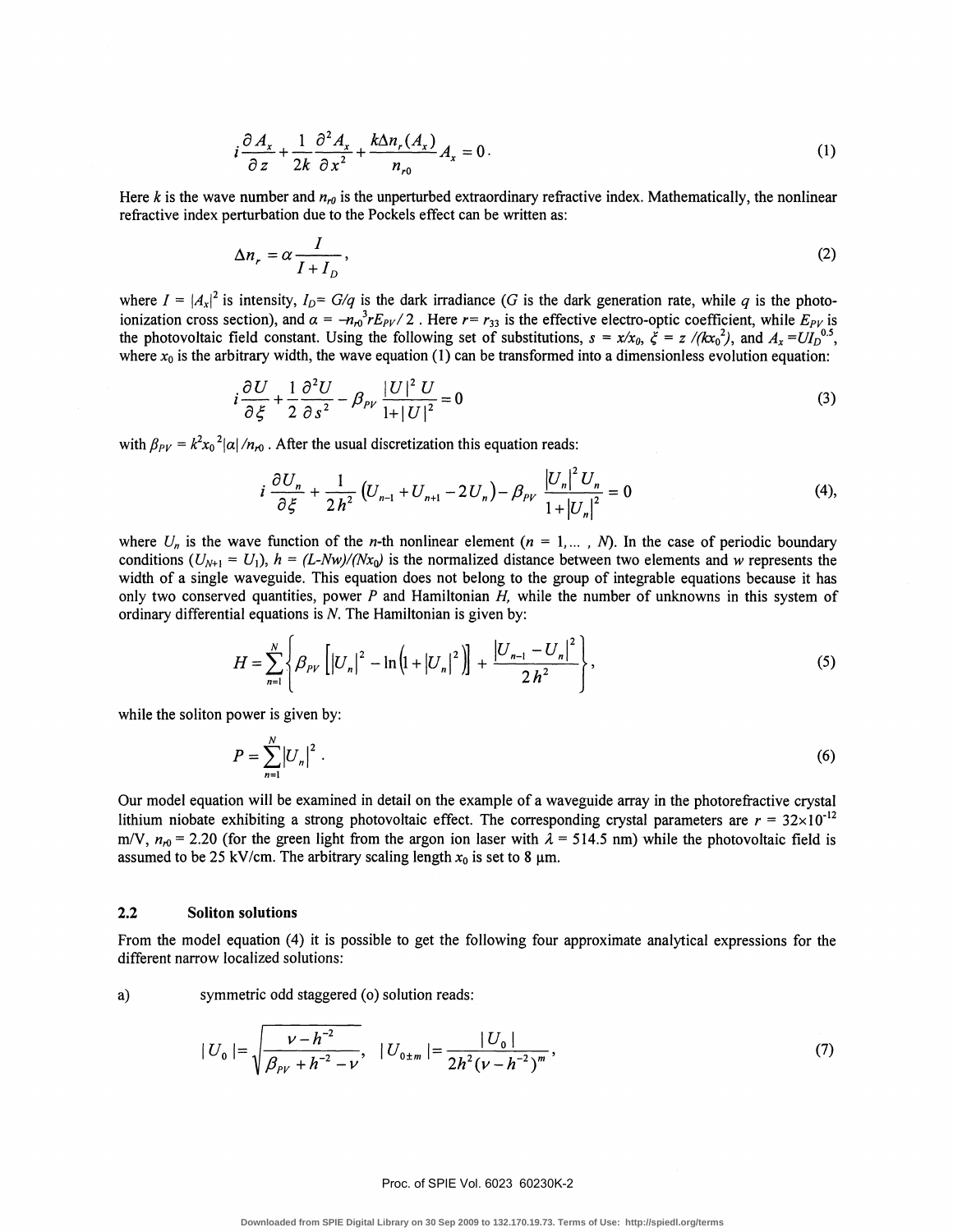$$
i\frac{\partial A_x}{\partial z} + \frac{1}{2k} \frac{\partial^2 A_x}{\partial x^2} + \frac{k \Delta n_r(A_x)}{n_{r_0}} A_x = 0.
$$
 (1)

Here k is the wave number and  $n_{r0}$  is the unperturbed extraordinary refractive index. Mathematically, the nonlinear refractive index perturbation due to the Pockels effect can be written as:

$$
\Delta n_r = \alpha \frac{I}{I + I_D},\tag{2}
$$

where  $I = |A_x|^2$  is intensity,  $I_D = G/q$  is the dark irradiance (G is the dark generation rate, while q is the photoionization cross section), and  $\alpha = -n_p^3 r E_{PV}/2$ . Here  $r = r_{33}$  is the effective electro-optic coefficient, while  $E_{PV}$  is the photovoltaic field constant. Using the following set of substitutions,  $s = x/x_0$ ,  $\xi = z / (kx_0^2)$ , and  $A_x = U I_D^{0.5}$ , where  $x_0$  is the arbitrary width, the wave equation (1) can be transformed into a dimensionless evolution equation:

$$
i\frac{\partial U}{\partial \xi} + \frac{1}{2} \frac{\partial^2 U}{\partial s^2} - \beta_{\rho \nu} \frac{|U|^2 U}{1 + |U|^2} = 0
$$
\n(3)

with  $\beta_{PV} = k^2x_0^2|\alpha|/n_{r0}$ . After the usual discretization this equation reads:

$$
i\frac{\partial U_n}{\partial \xi} + \frac{1}{2h^2} \left( U_{n-1} + U_{n+1} - 2U_n \right) - \beta_{PV} \frac{\left| U_n \right|^2 U_n}{1 + \left| U_n \right|^2} = 0 \tag{4}
$$

where  $U_n$  is the wave function of the *n*-th nonlinear element ( $n = 1,..., N$ ). In the case of periodic boundary conditions  $(U_{N+1} = U_1)$ ,  $h = (L-Nw)/(Nx_0)$  is the normalized distance between two elements and w represents the width of a single waveguide. This equation does not belong to the group of integrable equations because it has only two conserved quantities, power P and Hamiltonian H, while the number of unknowns in this system of ordinary differential equations is  $N$ . The Hamiltonian is given by:

$$
H = \sum_{n=1}^{N} \left\{ \beta_{pV} \left[ \left| U_n \right|^2 - \ln \left( 1 + \left| U_n \right|^2 \right) \right] + \frac{\left| U_{n-1} - U_n \right|^2}{2h^2} \right\},\tag{5}
$$

while the soliton power is given by:

$$
P = \sum_{n=1}^{N} |U_n|^2 \ . \tag{6}
$$

Our model equation wilt be examined in detail on the example of a waveguide array in the photorefractive crystal lithium niobate exhibiting a strong photovoltaic effect. The corresponding crystal parameters are  $r = 32 \times 10^{-12}$ m/V,  $n_{r0}$  = 2.20 (for the green light from the argon ion laser with  $\lambda$  = 514.5 nm) while the photovoltaic field is assumed to be 25 kV/cm. The arbitrary scaling length  $x_0$  is set to 8  $\mu$ m.

#### 2.2 Soliton solutions

From the model equation (4) it is possible to get the following four approximate analytical expressions for the different narrow localized solutions:

a) symmetric odd staggered (o) solution reads:

$$
|U_0| = \sqrt{\frac{\nu - h^{-2}}{\beta_{\rho_V} + h^{-2} - \nu}}, \quad |U_{0 \pm m}| = \frac{|U_0|}{2h^2(\nu - h^{-2})^m}, \tag{7}
$$

#### Proc. of SPIE Vol. 6023 60230K-2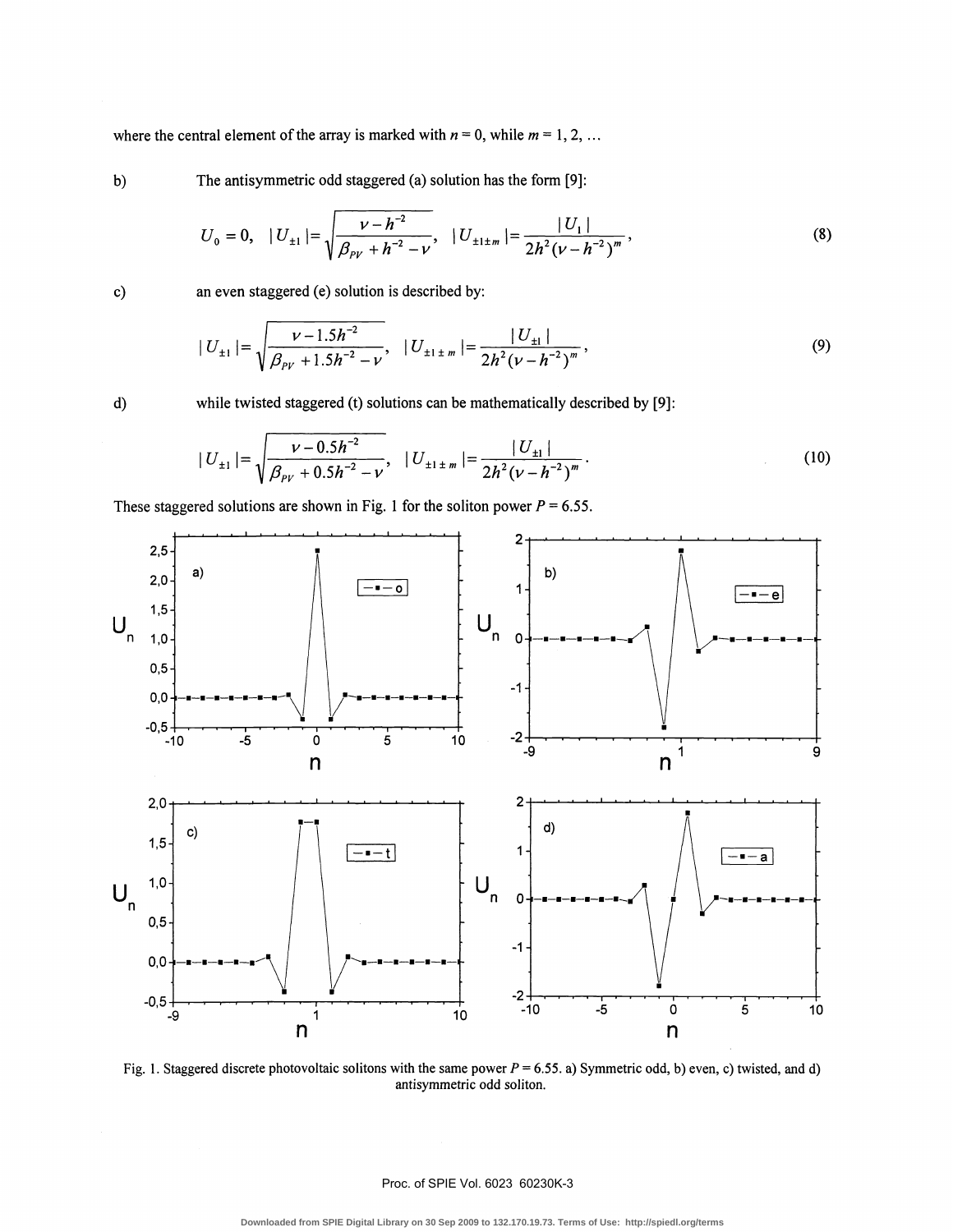where the central element of the array is marked with  $n = 0$ , while  $m = 1, 2, ...$ 

b) The antisymmetric odd staggered (a) solution has the form [9]:

$$
U_0 = 0, \quad |U_{\pm 1}| = \sqrt{\frac{\nu - h^{-2}}{\beta_{\rho_V} + h^{-2} - \nu}}, \quad |U_{\pm 1 \pm m}| = \frac{|U_1|}{2h^2(\nu - h^{-2})^m}, \tag{8}
$$

c) an even staggered (e) solution is described by:

$$
|U_{\pm 1}| = \sqrt{\frac{\nu - 1.5h^{-2}}{\beta_{p_V} + 1.5h^{-2} - \nu}}, \quad |U_{\pm 1 \pm m}| = \frac{|U_{\pm 1}|}{2h^2(\nu - h^{-2})^m}, \tag{9}
$$

d) while twisted staggered (t) solutions can be mathematically described by [9]:

$$
|U_{\pm 1}| = \sqrt{\frac{\nu - 0.5h^{-2}}{\beta_{p\nu} + 0.5h^{-2} - \nu}}, \quad |U_{\pm 1 \pm m}| = \frac{|U_{\pm 1}|}{2h^2(\nu - h^{-2})^m}.
$$
\n(10)

These staggered solutions are shown in Fig. 1 for the soliton power  $P = 6.55$ .



Fig. 1. Staggered discrete photovoltaic solitons with the same power  $P = 6.55$ . a) Symmetric odd, b) even, c) twisted, and d) antisymmetric odd soliton.

#### Proc. of SPIE Vol. 6023 60230K-3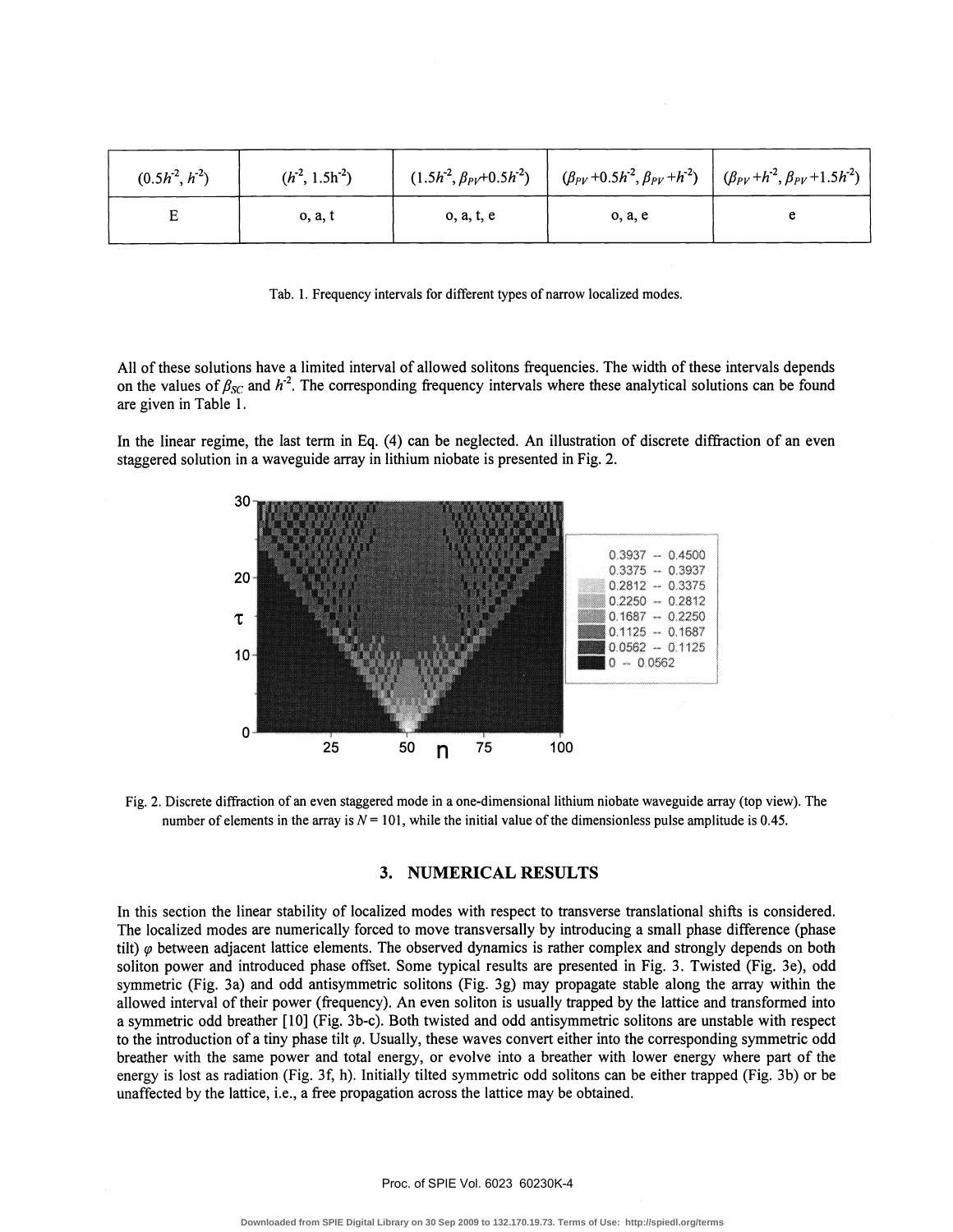| $(0.5h^2, h^2)$ | $(h^{-2}, 1.5h^{-2})$ | $(1.5h^2, \beta_{PV}+0.5h^2)$ | $(\beta_{PV}+0.5h^2, \beta_{PV}+h^2)$ | $(\beta_{PV}+h^2, \beta_{PV}+1.5h^2)$ |
|-----------------|-----------------------|-------------------------------|---------------------------------------|---------------------------------------|
|                 | 0, a, t               | 0, a, t, e                    | 0, a, e                               |                                       |

Tab. 1. Frequency intervals for different types of narrow localized modes.

All of these solutions have a limited interval of allowed solitons frequencies. The width of these intervals depends on the values of  $\beta_{SC}$  and  $h^2$ . The corresponding frequency intervals where these analytical solutions can be found are given in Table 1.

In the linear regime, the last term in Eq. (4) can be neglected. An illustration of discrete diffraction of an even staggered solution in a waveguide array in lithium niobate is presented in Fig. 2.



Fig. 2. Discrete diffraction of an even staggered mode in a one-dimensional lithium niobate waveguide array (top view). The number of elements in the array is  $N = 101$ , while the initial value of the dimensionless pulse amplitude is 0.45.

## 3. NUMERICAL RESULTS

In this section the linear stability of localized modes with respect to transverse translational shifts is considered. The localized modes are numerically forced to move transversally by introducing a small phase difference (phase tilt)  $\varphi$  between adjacent lattice elements. The observed dynamics is rather complex and strongly depends on both soliton power and introduced phase offset. Some typical results are presented in Fig. 3 . Twisted (Fig. 3e), odd symmetric (Fig. 3a) and odd antisymmetric solitons (Fig. 3g) may propagate stable along the array within the allowed interval of their power (frequency). An even soliton is usually trapped by the lattice and transformed into a symmetric odd breather [10] (Fig. 3b-c). Both twisted and odd antisymmetric solitons are unstable with respect to the introduction of a tiny phase tilt  $\varphi$ . Usually, these waves convert either into the corresponding symmetric odd breather with the same power and total energy, or evolve into a breather with lower energy where part of the energy is lost as radiation (Fig. 3f, h). Initially tilted symmetric odd solitons can be either trapped (Fig. 3b) or be unaffected by the lattice, i.e., a free propagation across the lattice may be obtained.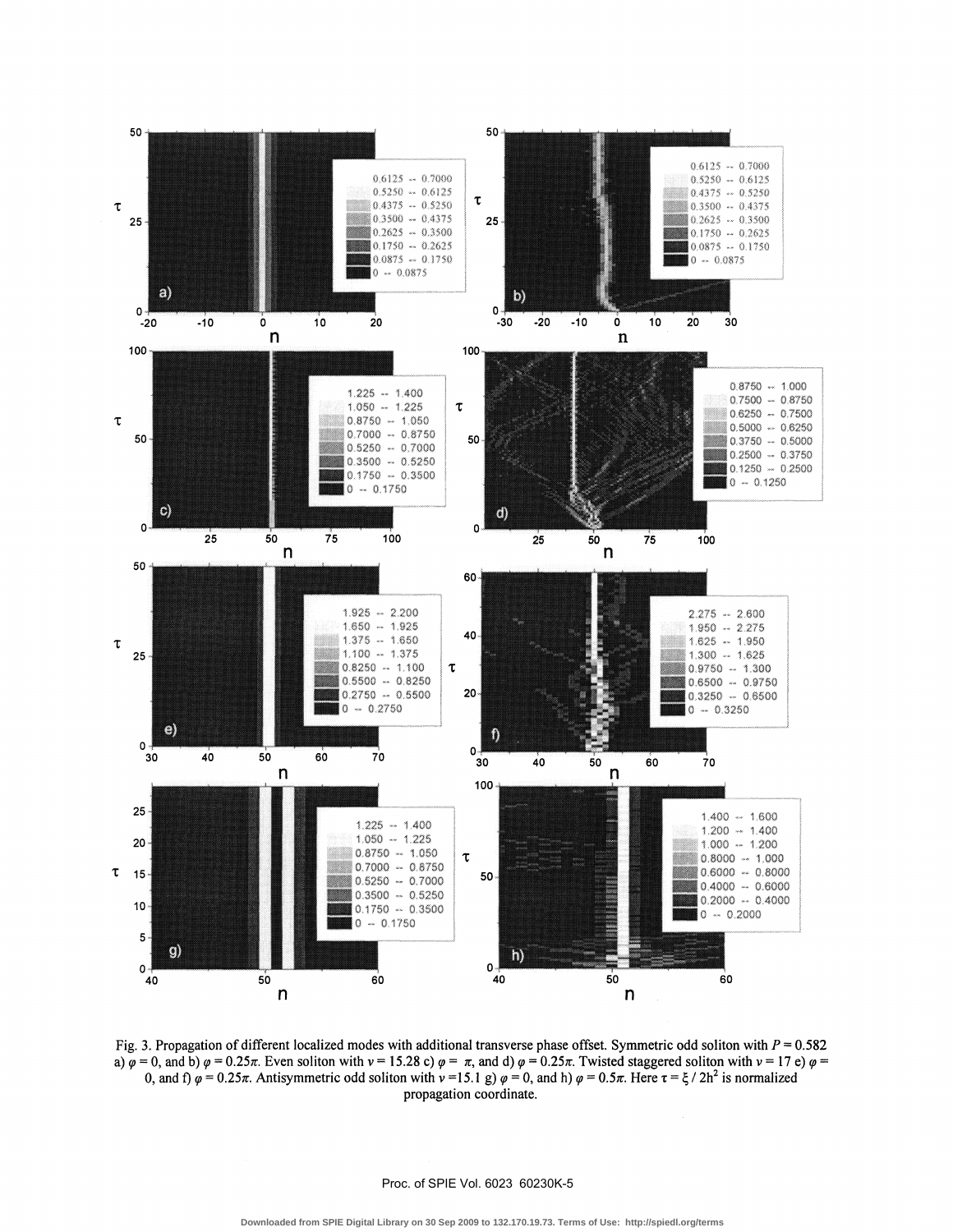

Fig. 3. Propagation of different localized modes with additional transverse phase offset. Symmetric odd soliton with  $P = 0.582$ a)  $\varphi = 0$ , and b)  $\varphi = 0.25\pi$ . Even soliton with  $v = 15.28$  c)  $\varphi = \pi$ , and d)  $\varphi = 0.25\pi$ . Twisted staggered soliton with  $v = 17$  e)  $\varphi =$ 0, and f)  $\varphi = 0.25\pi$ . Antisymmetric odd soliton with  $\nu = 15.1$  g)  $\varphi = 0$ , and h)  $\varphi = 0.5\pi$ . Here  $\tau = \xi / 2h^2$  is normalized propagation coordinate.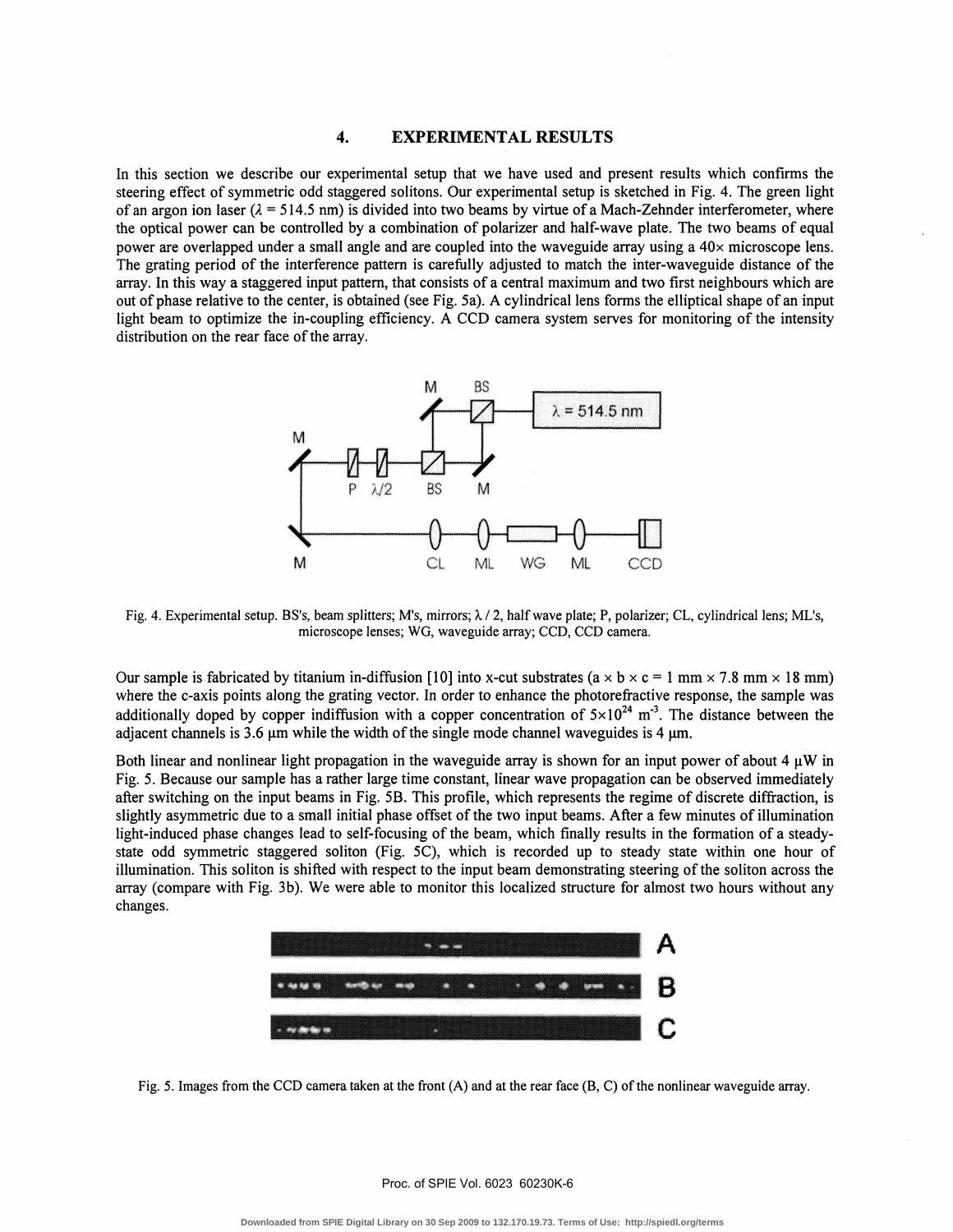## 4. EXPERIMENTAL RESULTS

In this section we describe our experimental setup that we have used and present results which confirms the steering effect of symmetric odd staggered solitons. Our experimental setup is sketched in Fig. 4. The green light of an argon ion laser ( $\lambda$  = 514.5 nm) is divided into two beams by virtue of a Mach-Zehnder interferometer, where the optical power can be controlled by a combination of polarizer and half-wave plate. The two beams of equal power are overlapped under a small angle and are coupled into the waveguide array using a  $40\times$  microscope lens. The grating period of the interference pattern is carefully adjusted to match the inter-waveguide distance of the array. In this way a staggered input pattern, that consists of a central maximum and two first neighbours which are out of phase relative to the center, is obtained (see Fig. 5a). A cylindrical lens forms the elliptical shape of an input light beam to optimize the in-coupling efficiency. A CCD camera system serves for monitoring of the intensity distribution on the rear face of the array.



Fig. 4. Experimental setup. BS's, beam splitters; M's, mirrors;  $\lambda / 2$ , half wave plate; P, polarizer; CL, cylindrical lens; ML's, microscope lenses; WG, waveguide array; CCD, CCD camera.

Our sample is fabricated by titanium in-diffusion [10] into x-cut substrates ( $a \times b \times c = 1$  mm  $\times 7.8$  mm  $\times 18$  mm) where the c-axis points along the grating vector. In order to enhance the photorefractive response, the sample was additionally doped by copper indiffusion with a copper concentration of  $5\times10^{24}$  m<sup>-3</sup>. The distance between the adjacent channels is 3.6  $\mu$ m while the width of the single mode channel waveguides is 4  $\mu$ m.

Both linear and nonlinear light propagation in the waveguide array is shown for an input power of about 4  $\mu$ W in Fig. 5. Because our sample has a rather large time constant, linear wave propagation can be observed immediately after switching on the input beams in Fig. 5B. This profile, which represents the regime of discrete diffraction, is slightly asymmetric due to a small initial phase offset of the two input beams. After a few minutes of illumination light-induced phase changes lead to self-focusing of the beam, which finally results in the formation of a steadystate odd symmetric staggered soliton (Fig. 5C), which is recorded up to steady state within one hour of illumination. This soliton is shifted with respect to the input beam demonstrating steering of the soliton across the array (compare with Fig. 3b). We were able to monitor this localized structure for almost two hours without any changes.



Fig. 5. Images from the CCD camera taken at the front  $(A)$  and at the rear face  $(B, C)$  of the nonlinear waveguide array.

#### Proc. of SPIE Vol. 6023 60230K-6